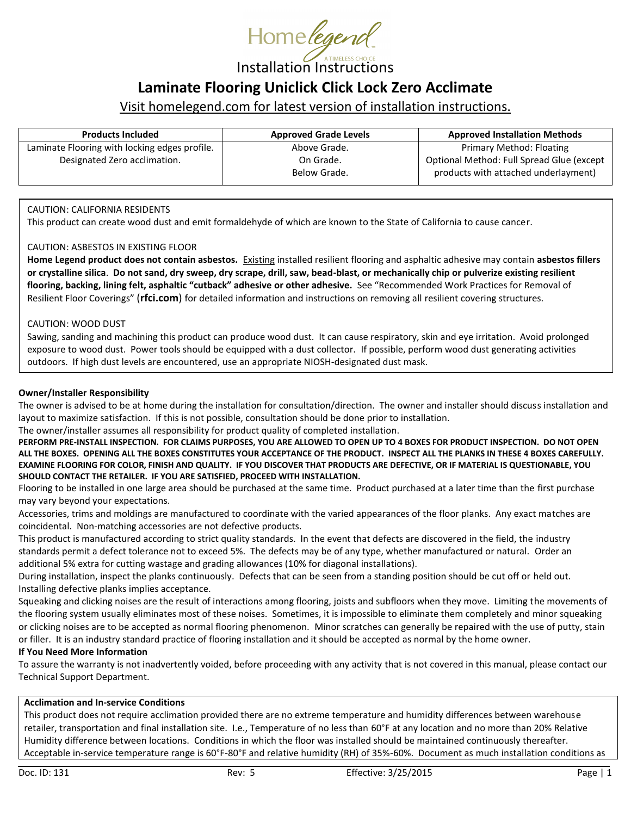

# **Laminate Flooring Uniclick Click Lock Zero Acclimate**

## Visit homelegend.com for latest version of installation instructions.

| <b>Products Included</b>                      | <b>Approved Grade Levels</b> | <b>Approved Installation Methods</b>      |
|-----------------------------------------------|------------------------------|-------------------------------------------|
| Laminate Flooring with locking edges profile. | Above Grade.                 | Primary Method: Floating                  |
| Designated Zero acclimation.                  | On Grade.                    | Optional Method: Full Spread Glue (except |
|                                               | Below Grade.                 | products with attached underlayment)      |
|                                               |                              |                                           |

### CAUTION: CALIFORNIA RESIDENTS

This product can create wood dust and emit formaldehyde of which are known to the State of California to cause cancer.

#### CAUTION: ASBESTOS IN EXISTING FLOOR

**Home Legend product does not contain asbestos.** Existing installed resilient flooring and asphaltic adhesive may contain **asbestos fillers or crystalline silica**. **Do not sand, dry sweep, dry scrape, drill, saw, bead-blast, or mechanically chip or pulverize existing resilient flooring, backing, lining felt, asphaltic "cutback" adhesive or other adhesive.** See "Recommended Work Practices for Removal of Resilient Floor Coverings" (**rfci.com**) for detailed information and instructions on removing all resilient covering structures.

#### CAUTION: WOOD DUST

Sawing, sanding and machining this product can produce wood dust. It can cause respiratory, skin and eye irritation. Avoid prolonged exposure to wood dust. Power tools should be equipped with a dust collector. If possible, perform wood dust generating activities outdoors. If high dust levels are encountered, use an appropriate NIOSH-designated dust mask.

#### **Owner/Installer Responsibility**

The owner is advised to be at home during the installation for consultation/direction. The owner and installer should discuss installation and layout to maximize satisfaction. If this is not possible, consultation should be done prior to installation.

The owner/installer assumes all responsibility for product quality of completed installation.

**PERFORM PRE-INSTALL INSPECTION. FOR CLAIMS PURPOSES, YOU ARE ALLOWED TO OPEN UP TO 4 BOXES FOR PRODUCT INSPECTION. DO NOT OPEN ALL THE BOXES. OPENING ALL THE BOXES CONSTITUTES YOUR ACCEPTANCE OF THE PRODUCT. INSPECT ALL THE PLANKS IN THESE 4 BOXES CAREFULLY. EXAMINE FLOORING FOR COLOR, FINISH AND QUALITY. IF YOU DISCOVER THAT PRODUCTS ARE DEFECTIVE, OR IF MATERIAL IS QUESTIONABLE, YOU SHOULD CONTACT THE RETAILER. IF YOU ARE SATISFIED, PROCEED WITH INSTALLATION.**

Flooring to be installed in one large area should be purchased at the same time. Product purchased at a later time than the first purchase may vary beyond your expectations.

Accessories, trims and moldings are manufactured to coordinate with the varied appearances of the floor planks. Any exact matches are coincidental. Non-matching accessories are not defective products.

This product is manufactured according to strict quality standards. In the event that defects are discovered in the field, the industry standards permit a defect tolerance not to exceed 5%. The defects may be of any type, whether manufactured or natural. Order an additional 5% extra for cutting wastage and grading allowances (10% for diagonal installations).

During installation, inspect the planks continuously. Defects that can be seen from a standing position should be cut off or held out. Installing defective planks implies acceptance.

Squeaking and clicking noises are the result of interactions among flooring, joists and subfloors when they move. Limiting the movements of the flooring system usually eliminates most of these noises. Sometimes, it is impossible to eliminate them completely and minor squeaking or clicking noises are to be accepted as normal flooring phenomenon. Minor scratches can generally be repaired with the use of putty, stain or filler. It is an industry standard practice of flooring installation and it should be accepted as normal by the home owner.

#### **If You Need More Information**

To assure the warranty is not inadvertently voided, before proceeding with any activity that is not covered in this manual, please contact our Technical Support Department.

### **Acclimation and In-service Conditions**

This product does not require acclimation provided there are no extreme temperature and humidity differences between warehouse retailer, transportation and final installation site. I.e., Temperature of no less than 60°F at any location and no more than 20% Relative Humidity difference between locations. Conditions in which the floor was installed should be maintained continuously thereafter. Acceptable in-service temperature range is 60°F-80°F and relative humidity (RH) of 35%-60%. Document as much installation conditions as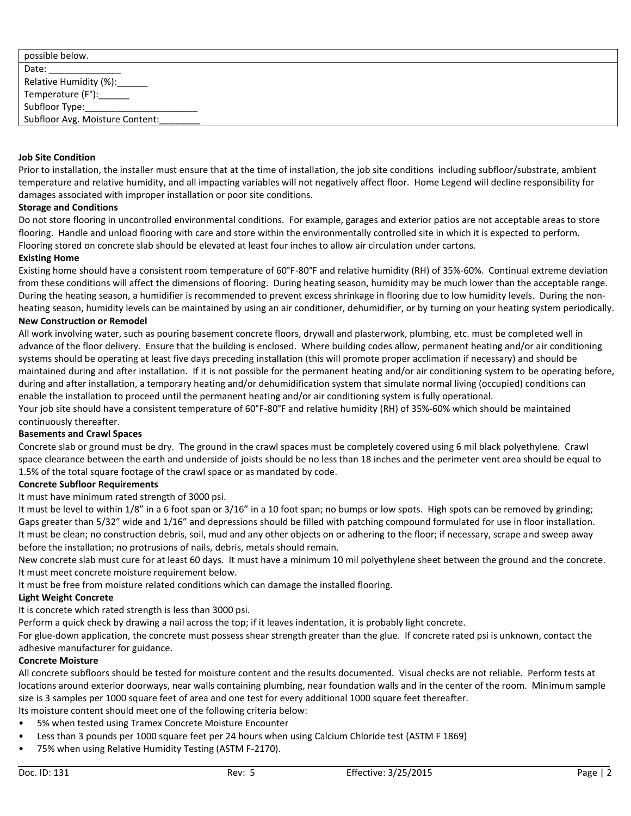| possible below.                 |  |
|---------------------------------|--|
| Date:                           |  |
| Relative Humidity (%):_____     |  |
| Temperature (F°):______         |  |
| Subfloor Type:________________  |  |
| Subfloor Avg. Moisture Content: |  |

#### **Job Site Condition**

Prior to installation, the installer must ensure that at the time of installation, the job site conditions including subfloor/substrate, ambient temperature and relative humidity, and all impacting variables will not negatively affect floor. Home Legend will decline responsibility for damages associated with improper installation or poor site conditions.

#### **Storage and Conditions**

Do not store flooring in uncontrolled environmental conditions. For example, garages and exterior patios are not acceptable areas to store flooring. Handle and unload flooring with care and store within the environmentally controlled site in which it is expected to perform. Flooring stored on concrete slab should be elevated at least four inches to allow air circulation under cartons.

#### **Existing Home**

Existing home should have a consistent room temperature of 60°F-80°F and relative humidity (RH) of 35%-60%. Continual extreme deviation from these conditions will affect the dimensions of flooring. During heating season, humidity may be much lower than the acceptable range. During the heating season, a humidifier is recommended to prevent excess shrinkage in flooring due to low humidity levels. During the nonheating season, humidity levels can be maintained by using an air conditioner, dehumidifier, or by turning on your heating system periodically.

#### **New Construction or Remodel**

All work involving water, such as pouring basement concrete floors, drywall and plasterwork, plumbing, etc. must be completed well in advance of the floor delivery. Ensure that the building is enclosed. Where building codes allow, permanent heating and/or air conditioning systems should be operating at least five days preceding installation (this will promote proper acclimation if necessary) and should be maintained during and after installation. If it is not possible for the permanent heating and/or air conditioning system to be operating before, during and after installation, a temporary heating and/or dehumidification system that simulate normal living (occupied) conditions can enable the installation to proceed until the permanent heating and/or air conditioning system is fully operational.

Your job site should have a consistent temperature of 60°F-80°F and relative humidity (RH) of 35%-60% which should be maintained continuously thereafter.

#### **Basements and Crawl Spaces**

Concrete slab or ground must be dry. The ground in the crawl spaces must be completely covered using 6 mil black polyethylene. Crawl space clearance between the earth and underside of joists should be no less than 18 inches and the perimeter vent area should be equal to 1.5% of the total square footage of the crawl space or as mandated by code.

#### **Concrete Subfloor Requirements**

It must have minimum rated strength of 3000 psi.

It must be level to within 1/8" in a 6 foot span or 3/16" in a 10 foot span; no bumps or low spots. High spots can be removed by grinding; Gaps greater than 5/32" wide and 1/16" and depressions should be filled with patching compound formulated for use in floor installation. It must be clean; no construction debris, soil, mud and any other objects on or adhering to the floor; if necessary, scrape and sweep away before the installation; no protrusions of nails, debris, metals should remain.

New concrete slab must cure for at least 60 days. It must have a minimum 10 mil polyethylene sheet between the ground and the concrete. It must meet concrete moisture requirement below.

It must be free from moisture related conditions which can damage the installed flooring.

#### **Light Weight Concrete**

It is concrete which rated strength is less than 3000 psi.

Perform a quick check by drawing a nail across the top; if it leaves indentation, it is probably light concrete.

For glue-down application, the concrete must possess shear strength greater than the glue. If concrete rated psi is unknown, contact the adhesive manufacturer for guidance.

#### **Concrete Moisture**

All concrete subfloors should be tested for moisture content and the results documented. Visual checks are not reliable. Perform tests at locations around exterior doorways, near walls containing plumbing, near foundation walls and in the center of the room. Minimum sample size is 3 samples per 1000 square feet of area and one test for every additional 1000 square feet thereafter.

- Its moisture content should meet one of the following criteria below:
- 5% when tested using Tramex Concrete Moisture Encounter
- Less than 3 pounds per 1000 square feet per 24 hours when using Calcium Chloride test (ASTM F 1869)
- 75% when using Relative Humidity Testing (ASTM F-2170).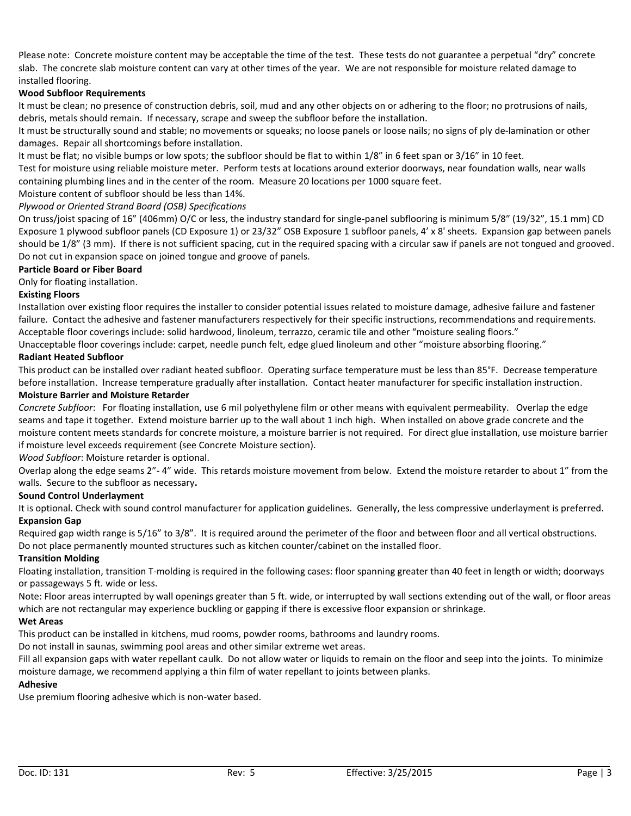Please note: Concrete moisture content may be acceptable the time of the test. These tests do not guarantee a perpetual "dry" concrete slab. The concrete slab moisture content can vary at other times of the year. We are not responsible for moisture related damage to installed flooring.

### **Wood Subfloor Requirements**

It must be clean; no presence of construction debris, soil, mud and any other objects on or adhering to the floor; no protrusions of nails, debris, metals should remain. If necessary, scrape and sweep the subfloor before the installation.

It must be structurally sound and stable; no movements or squeaks; no loose panels or loose nails; no signs of ply de-lamination or other damages. Repair all shortcomings before installation.

It must be flat; no visible bumps or low spots; the subfloor should be flat to within 1/8" in 6 feet span or 3/16" in 10 feet.

Test for moisture using reliable moisture meter. Perform tests at locations around exterior doorways, near foundation walls, near walls containing plumbing lines and in the center of the room. Measure 20 locations per 1000 square feet.

Moisture content of subfloor should be less than 14%.

#### *Plywood or Oriented Strand Board (OSB) Specifications*

On truss/joist spacing of 16" (406mm) O/C or less, the industry standard for single-panel subflooring is minimum 5/8" (19/32", 15.1 mm) CD Exposure 1 plywood subfloor panels (CD Exposure 1) or 23/32" OSB Exposure 1 subfloor panels, 4' x 8' sheets. Expansion gap between panels should be 1/8" (3 mm). If there is not sufficient spacing, cut in the required spacing with a circular saw if panels are not tongued and grooved. Do not cut in expansion space on joined tongue and groove of panels.

#### **Particle Board or Fiber Board**

Only for floating installation.

### **Existing Floors**

Installation over existing floor requires the installer to consider potential issues related to moisture damage, adhesive failure and fastener failure. Contact the adhesive and fastener manufacturers respectively for their specific instructions, recommendations and requirements. Acceptable floor coverings include: solid hardwood, linoleum, terrazzo, ceramic tile and other "moisture sealing floors."

Unacceptable floor coverings include: carpet, needle punch felt, edge glued linoleum and other "moisture absorbing flooring."

### **Radiant Heated Subfloor**

This product can be installed over radiant heated subfloor. Operating surface temperature must be less than 85°F. Decrease temperature before installation. Increase temperature gradually after installation. Contact heater manufacturer for specific installation instruction.

#### **Moisture Barrier and Moisture Retarder**

*Concrete Subfloor*: For floating installation, use 6 mil polyethylene film or other means with equivalent permeability. Overlap the edge seams and tape it together. Extend moisture barrier up to the wall about 1 inch high. When installed on above grade concrete and the moisture content meets standards for concrete moisture, a moisture barrier is not required. For direct glue installation, use moisture barrier if moisture level exceeds requirement (see Concrete Moisture section).

*Wood Subfloor*: Moisture retarder is optional.

Overlap along the edge seams 2"- 4" wide. This retards moisture movement from below. Extend the moisture retarder to about 1" from the walls. Secure to the subfloor as necessary**.**

### **Sound Control Underlayment**

It is optional. Check with sound control manufacturer for application guidelines. Generally, the less compressive underlayment is preferred. **Expansion Gap**

Required gap width range is 5/16" to 3/8". It is required around the perimeter of the floor and between floor and all vertical obstructions. Do not place permanently mounted structures such as kitchen counter/cabinet on the installed floor.

### **Transition Molding**

Floating installation, transition T-molding is required in the following cases: floor spanning greater than 40 feet in length or width; doorways or passageways 5 ft. wide or less.

Note: Floor areas interrupted by wall openings greater than 5 ft. wide, or interrupted by wall sections extending out of the wall, or floor areas which are not rectangular may experience buckling or gapping if there is excessive floor expansion or shrinkage.

### **Wet Areas**

This product can be installed in kitchens, mud rooms, powder rooms, bathrooms and laundry rooms.

Do not install in saunas, swimming pool areas and other similar extreme wet areas.

Fill all expansion gaps with water repellant caulk. Do not allow water or liquids to remain on the floor and seep into the joints. To minimize moisture damage, we recommend applying a thin film of water repellant to joints between planks.

#### **Adhesive**

Use premium flooring adhesive which is non-water based.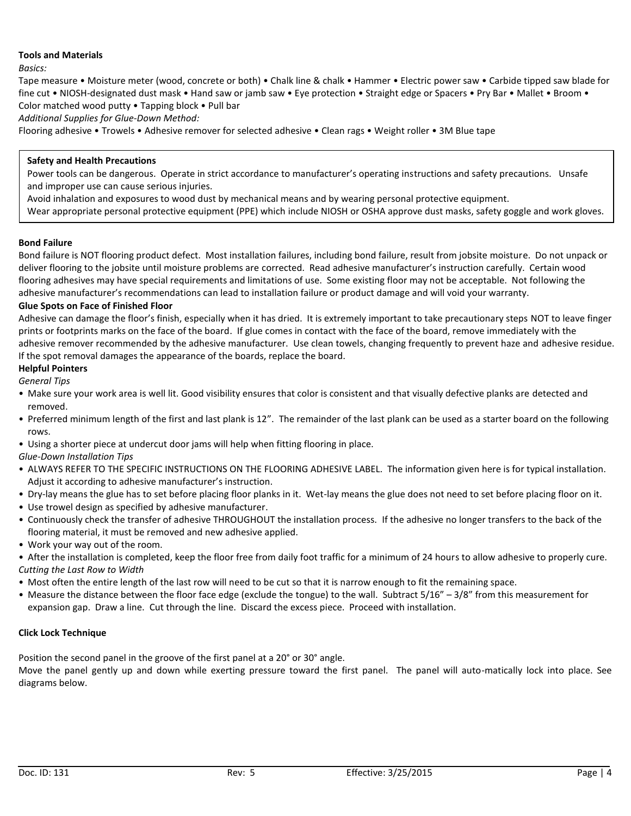### **Tools and Materials**

*Basics:*

Tape measure • Moisture meter (wood, concrete or both) • Chalk line & chalk • Hammer • Electric power saw • Carbide tipped saw blade for fine cut • NIOSH-designated dust mask • Hand saw or jamb saw • Eye protection • Straight edge or Spacers • Pry Bar • Mallet • Broom • Color matched wood putty • Tapping block • Pull bar

*Additional Supplies for Glue-Down Method:*

Flooring adhesive • Trowels • Adhesive remover for selected adhesive • Clean rags • Weight roller • 3M Blue tape

### **Safety and Health Precautions**

Power tools can be dangerous. Operate in strict accordance to manufacturer's operating instructions and safety precautions. Unsafe and improper use can cause serious injuries.

Avoid inhalation and exposures to wood dust by mechanical means and by wearing personal protective equipment.

Wear appropriate personal protective equipment (PPE) which include NIOSH or OSHA approve dust masks, safety goggle and work gloves.

or deliver flooring to the jobsite until moisture problems are corrected. Read adhesive manufacturer's instruction carefully. Certain

#### **Bond Failure** wood flooring adhesives may se of it can cause serious injuries.

Bond randre<br>Bond failure is NOT flooring product defect. Most installation failures, including bond failure, result from jobsite moisture. Do not unpack or deliver flooring to the jobsite until moisture problems are corrected. Read adhesive manufacturer's instruction carefully. Certain wood flooring adhesives may have special requirements and limitations of use. Some existing floor may not be acceptable. Not following the adhesive manufacturer's recommendations can lead to installation failure or product damage and will void your warranty.

#### **Glue Spots on Face of Finished Floor**

Adhesive can damage the floor's finish, especially when it has dried. It is extremely important to take precautionary steps NOT to leave finger prints or footprints marks on the face of the board. If glue comes in contact with the face of the board, remove immediately with the adhesive remover recommended by the adhesive manufacturer. Use clean towels, changing frequently to prevent haze and adhesive residue. If the spot removal damages the appearance of the boards, replace the board.

### **Helpful Pointers**

*General Tips*

- Make sure your work area is well lit. Good visibility ensures that color is consistent and that visually defective planks are detected and removed.
- Preferred minimum length of the first and last plank is 12". The remainder of the last plank can be used as a starter board on the following rows.
- Using a shorter piece at undercut door jams will help when fitting flooring in place.
- *Glue-Down Installation Tips*
- ALWAYS REFER TO THE SPECIFIC INSTRUCTIONS ON THE FLOORING ADHESIVE LABEL. The information given here is for typical installation. Adjust it according to adhesive manufacturer's instruction.
- Dry-lay means the glue has to set before placing floor planks in it. Wet-lay means the glue does not need to set before placing floor on it.
- Use trowel design as specified by adhesive manufacturer.
- Continuously check the transfer of adhesive THROUGHOUT the installation process. If the adhesive no longer transfers to the back of the flooring material, it must be removed and new adhesive applied.
- Work your way out of the room.
- After the installation is completed, keep the floor free from daily foot traffic for a minimum of 24 hours to allow adhesive to properly cure. *Cutting the Last Row to Width*
- Most often the entire length of the last row will need to be cut so that it is narrow enough to fit the remaining space.
- Measure the distance between the floor face edge (exclude the tongue) to the wall. Subtract 5/16" 3/8" from this measurement for expansion gap. Draw a line. Cut through the line. Discard the excess piece. Proceed with installation.

### **Click Lock Technique**

Position the second panel in the groove of the first panel at a 20° or 30° angle.

Move the panel gently up and down while exerting pressure toward the first panel. The panel will auto-matically lock into place. See diagrams below.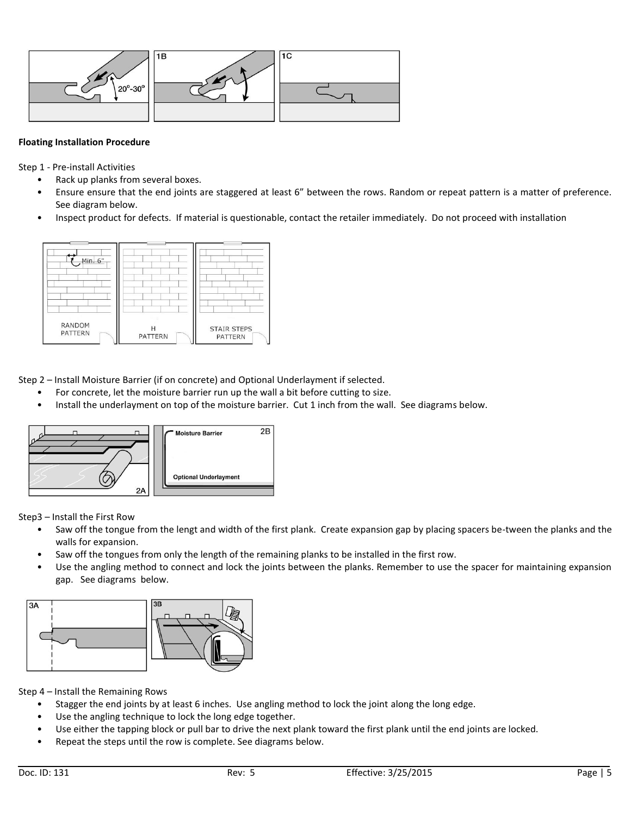

### **Floating Installation Procedure**

Step 1 - Pre-install Activities

- Rack up planks from several boxes.
- Ensure ensure that the end joints are staggered at least 6" between the rows. Random or repeat pattern is a matter of preference. See diagram below.
- Inspect product for defects. If material is questionable, contact the retailer immediately. Do not proceed with installation



Step 2 – Install Moisture Barrier (if on concrete) and Optional Underlayment if selected.

- For concrete, let the moisture barrier run up the wall a bit before cutting to size.
- Install the underlayment on top of the moisture barrier. Cut 1 inch from the wall. See diagrams below.



Step3 – Install the First Row

- Saw off the tongue from the lengt and width of the first plank. Create expansion gap by placing spacers be-tween the planks and the walls for expansion.
- Saw off the tongues from only the length of the remaining planks to be installed in the first row.
- Use the angling method to connect and lock the joints between the planks. Remember to use the spacer for maintaining expansion gap. See diagrams below.



Step 4 – Install the Remaining Rows

- Stagger the end joints by at least 6 inches. Use angling method to lock the joint along the long edge.
- Use the angling technique to lock the long edge together.
- Use either the tapping block or pull bar to drive the next plank toward the first plank until the end joints are locked.
- Repeat the steps until the row is complete. See diagrams below.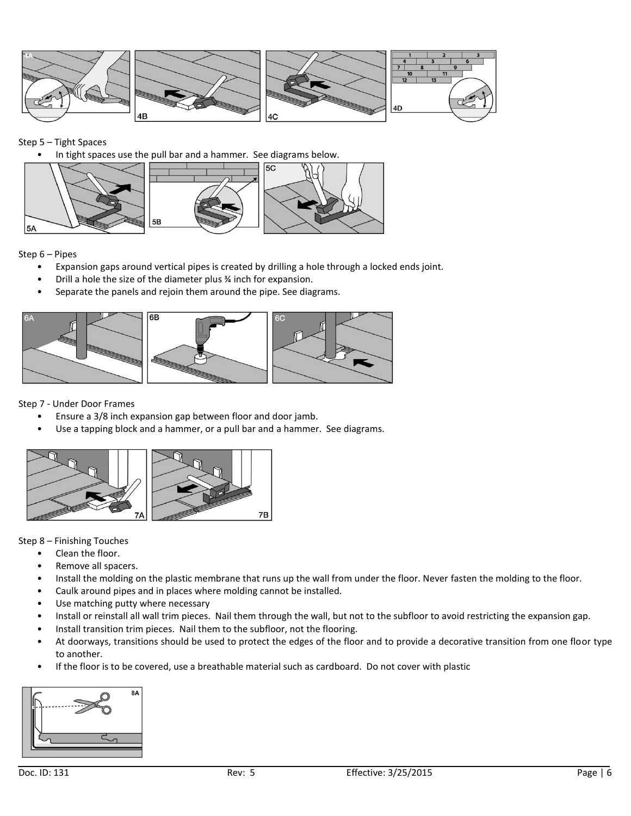

Step 5 – Tight Spaces

• In tight spaces use the pull bar and a hammer. See diagrams below.



Step 6 – Pipes

- Expansion gaps around vertical pipes is created by drilling a hole through a locked ends joint.
- Drill a hole the size of the diameter plus ¾ inch for expansion.
- Separate the panels and rejoin them around the pipe. See diagrams.



Step 7 - Under Door Frames

- Ensure a 3/8 inch expansion gap between floor and door jamb.
- Use a tapping block and a hammer, or a pull bar and a hammer. See diagrams.



Step 8 – Finishing Touches

- Clean the floor.
- Remove all spacers.
- Install the molding on the plastic membrane that runs up the wall from under the floor. Never fasten the molding to the floor.
- Caulk around pipes and in places where molding cannot be installed.
- Use matching putty where necessary
- Install or reinstall all wall trim pieces. Nail them through the wall, but not to the subfloor to avoid restricting the expansion gap.
- Install transition trim pieces. Nail them to the subfloor, not the flooring.
- At doorways, transitions should be used to protect the edges of the floor and to provide a decorative transition from one floor type to another.
- If the floor is to be covered, use a breathable material such as cardboard. Do not cover with plastic

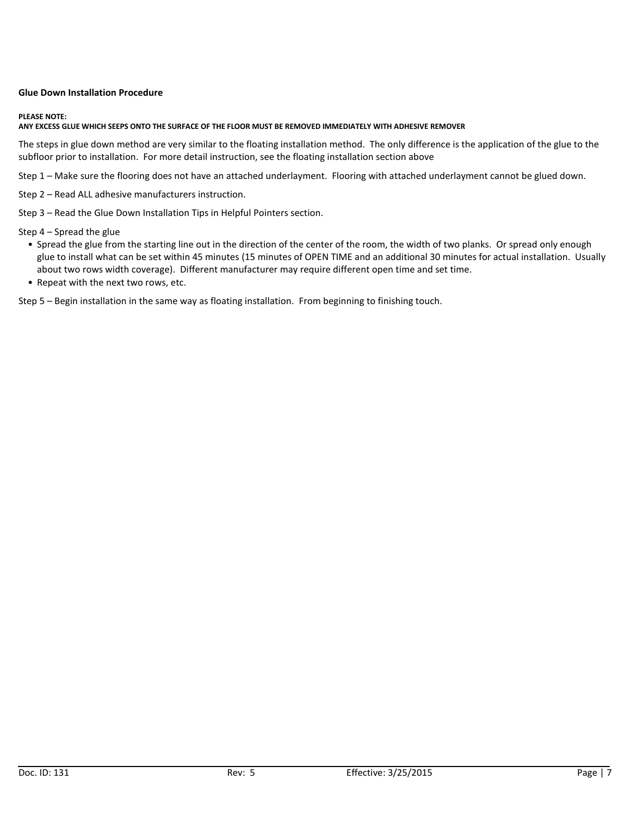#### **Glue Down Installation Procedure**

#### **PLEASE NOTE:**

#### **ANY EXCESS GLUE WHICH SEEPS ONTO THE SURFACE OF THE FLOOR MUST BE REMOVED IMMEDIATELY WITH ADHESIVE REMOVER**

The steps in glue down method are very similar to the floating installation method. The only difference is the application of the glue to the subfloor prior to installation. For more detail instruction, see the floating installation section above

Step 1 – Make sure the flooring does not have an attached underlayment. Flooring with attached underlayment cannot be glued down.

Step 2 – Read ALL adhesive manufacturers instruction.

Step 3 – Read the Glue Down Installation Tips in Helpful Pointers section.

Step 4 – Spread the glue

- Spread the glue from the starting line out in the direction of the center of the room, the width of two planks. Or spread only enough glue to install what can be set within 45 minutes (15 minutes of OPEN TIME and an additional 30 minutes for actual installation. Usually about two rows width coverage). Different manufacturer may require different open time and set time.
- Repeat with the next two rows, etc.

Step 5 – Begin installation in the same way as floating installation. From beginning to finishing touch.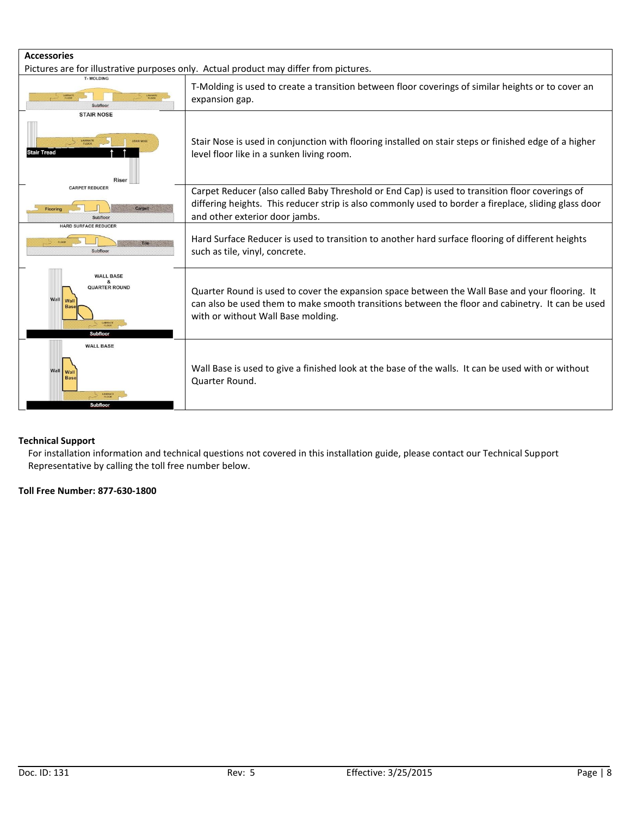| <b>Accessories</b>                                                                   |                                                                                                                                                                                                                                            |  |
|--------------------------------------------------------------------------------------|--------------------------------------------------------------------------------------------------------------------------------------------------------------------------------------------------------------------------------------------|--|
| <b>T-MOLDING</b>                                                                     | Pictures are for illustrative purposes only. Actual product may differ from pictures.                                                                                                                                                      |  |
| Subfloor                                                                             | T-Molding is used to create a transition between floor coverings of similar heights or to cover an<br>expansion gap.                                                                                                                       |  |
| <b>STAIR NOSE</b>                                                                    |                                                                                                                                                                                                                                            |  |
| <b>ANNINATE</b><br><b>STAIR NOSE</b><br><b>Stair Tread</b><br>Riser                  | Stair Nose is used in conjunction with flooring installed on stair steps or finished edge of a higher<br>level floor like in a sunken living room.                                                                                         |  |
| <b>CARPET REDUCER</b><br>Carpet<br><b>Flooring</b>                                   | Carpet Reducer (also called Baby Threshold or End Cap) is used to transition floor coverings of<br>differing heights. This reducer strip is also commonly used to border a fireplace, sliding glass door<br>and other exterior door jambs. |  |
| <b>HARD SURFACE REDUCER</b><br>Subfloor                                              | Hard Surface Reducer is used to transition to another hard surface flooring of different heights<br>such as tile, vinyl, concrete.                                                                                                         |  |
| <b>WALL BASE</b><br><b>QUARTER ROUND</b><br>Wal<br><b>AMBUCTE</b><br><b>Subfloor</b> | Quarter Round is used to cover the expansion space between the Wall Base and your flooring. It<br>can also be used them to make smooth transitions between the floor and cabinetry. It can be used<br>with or without Wall Base molding.   |  |
| <b>WALL BASE</b><br>Wal<br>Bas<br><b>Subfloor</b>                                    | Wall Base is used to give a finished look at the base of the walls. It can be used with or without<br>Quarter Round.                                                                                                                       |  |

## **Technical Support**

For installation information and technical questions not covered in this installation guide, please contact our Technical Support Representative by calling the toll free number below.

**Toll Free Number: 877-630-1800**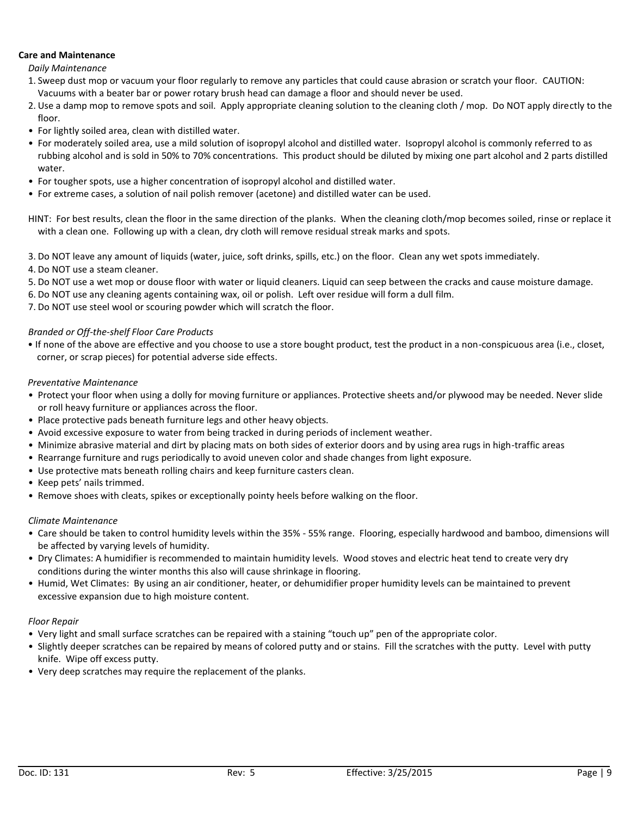### **Care and Maintenance**

#### *Daily Maintenance*

- 1. Sweep dust mop or vacuum your floor regularly to remove any particles that could cause abrasion or scratch your floor. CAUTION: Vacuums with a beater bar or power rotary brush head can damage a floor and should never be used.
- 2. Use a damp mop to remove spots and soil. Apply appropriate cleaning solution to the cleaning cloth / mop. Do NOT apply directly to the floor.
- For lightly soiled area, clean with distilled water.
- For moderately soiled area, use a mild solution of isopropyl alcohol and distilled water. Isopropyl alcohol is commonly referred to as rubbing alcohol and is sold in 50% to 70% concentrations. This product should be diluted by mixing one part alcohol and 2 parts distilled water.
- For tougher spots, use a higher concentration of isopropyl alcohol and distilled water.
- For extreme cases, a solution of nail polish remover (acetone) and distilled water can be used.

HINT: For best results, clean the floor in the same direction of the planks. When the cleaning cloth/mop becomes soiled, rinse or replace it with a clean one. Following up with a clean, dry cloth will remove residual streak marks and spots.

3. Do NOT leave any amount of liquids (water, juice, soft drinks, spills, etc.) on the floor. Clean any wet spots immediately.

4. Do NOT use a steam cleaner.

- 5. Do NOT use a wet mop or douse floor with water or liquid cleaners. Liquid can seep between the cracks and cause moisture damage.
- 6. Do NOT use any cleaning agents containing wax, oil or polish. Left over residue will form a dull film.

7. Do NOT use steel wool or scouring powder which will scratch the floor.

### *Branded or Off-the-shelf Floor Care Products*

• If none of the above are effective and you choose to use a store bought product, test the product in a non-conspicuous area (i.e., closet, corner, or scrap pieces) for potential adverse side effects.

### *Preventative Maintenance*

- Protect your floor when using a dolly for moving furniture or appliances. Protective sheets and/or plywood may be needed. Never slide or roll heavy furniture or appliances across the floor.
- Place protective pads beneath furniture legs and other heavy objects.
- Avoid excessive exposure to water from being tracked in during periods of inclement weather.
- Minimize abrasive material and dirt by placing mats on both sides of exterior doors and by using area rugs in high-traffic areas
- Rearrange furniture and rugs periodically to avoid uneven color and shade changes from light exposure.
- Use protective mats beneath rolling chairs and keep furniture casters clean.
- Keep pets' nails trimmed.
- Remove shoes with cleats, spikes or exceptionally pointy heels before walking on the floor.

### *Climate Maintenance*

- Care should be taken to control humidity levels within the 35% 55% range. Flooring, especially hardwood and bamboo, dimensions will be affected by varying levels of humidity.
- Dry Climates: A humidifier is recommended to maintain humidity levels. Wood stoves and electric heat tend to create very dry conditions during the winter months this also will cause shrinkage in flooring.
- Humid, Wet Climates: By using an air conditioner, heater, or dehumidifier proper humidity levels can be maintained to prevent excessive expansion due to high moisture content.

### *Floor Repair*

- Very light and small surface scratches can be repaired with a staining "touch up" pen of the appropriate color.
- Slightly deeper scratches can be repaired by means of colored putty and or stains. Fill the scratches with the putty. Level with putty knife. Wipe off excess putty.
- Very deep scratches may require the replacement of the planks.